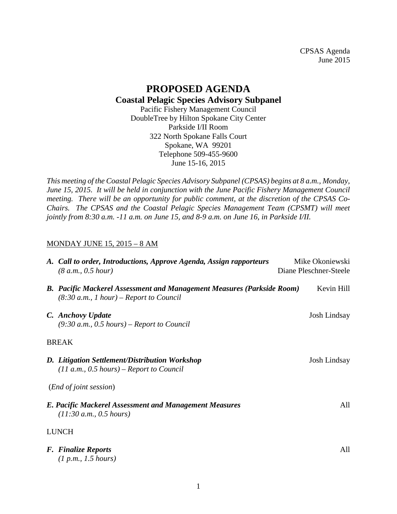CPSAS Agenda June 2015

## **PROPOSED AGENDA Coastal Pelagic Species Advisory Subpanel**

Pacific Fishery Management Council DoubleTree by Hilton Spokane City Center Parkside I/II Room 322 North Spokane Falls Court Spokane, WA 99201 Telephone 509-455-9600 June 15-16, 2015

*This meeting of the Coastal Pelagic Species Advisory Subpanel (CPSAS) begins at 8 a.m., Monday, June 15, 2015. It will be held in conjunction with the June Pacific Fishery Management Council meeting. There will be an opportunity for public comment, at the discretion of the CPSAS Co-Chairs. The CPSAS and the Coastal Pelagic Species Management Team (CPSMT) will meet jointly from 8:30 a.m. -11 a.m. on June 15, and 8-9 a.m. on June 16, in Parkside I/II.* 

## MONDAY JUNE 15, 2015 – 8 AM

|              | A. Call to order, Introductions, Approve Agenda, Assign rapporteurs<br>(8 a.m., 0.5 hour)                                  | Mike Okoniewski<br>Diane Pleschner-Steele |                     |  |
|--------------|----------------------------------------------------------------------------------------------------------------------------|-------------------------------------------|---------------------|--|
|              | <b>B.</b> Pacific Mackerel Assessment and Management Measures (Parkside Room)<br>$(8:30 a.m., 1 hour)$ – Report to Council |                                           | Kevin Hill          |  |
|              | C. Anchovy Update<br>$(9:30 a.m., 0.5 hours)$ – Report to Council                                                          |                                           | <b>Josh Lindsay</b> |  |
| <b>BREAK</b> |                                                                                                                            |                                           |                     |  |
|              | D. Litigation Settlement/Distribution Workshop<br>$(11 a.m., 0.5 hours)$ – Report to Council                               |                                           | Josh Lindsay        |  |
|              | ( <i>End of joint session</i> )                                                                                            |                                           |                     |  |
|              | <b>E. Pacific Mackerel Assessment and Management Measures</b><br>(11:30 a.m., 0.5 hours)                                   |                                           | All                 |  |
|              | <b>LUNCH</b>                                                                                                               |                                           |                     |  |
|              | <b>F.</b> Finalize Reports<br>(1 p.m., 1.5 hours)                                                                          |                                           | All                 |  |